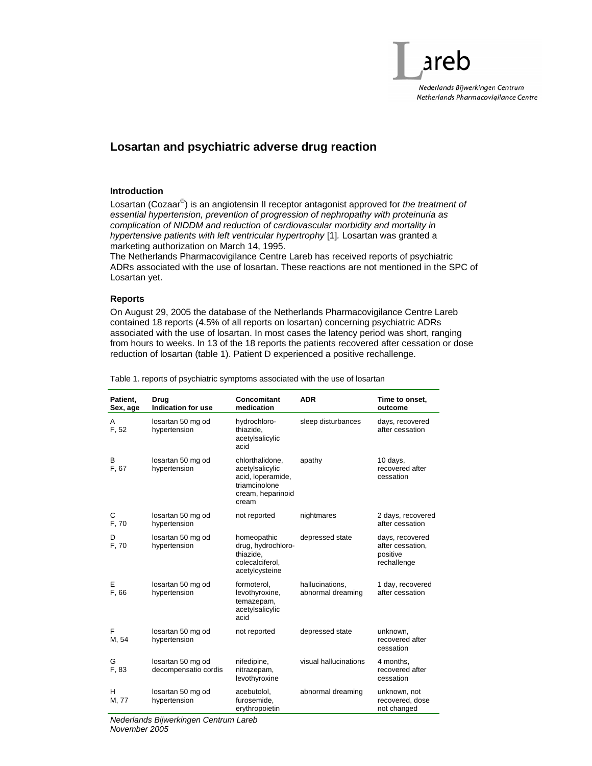

# **Losartan and psychiatric adverse drug reaction**

## **Introduction**

Losartan (Cozaar® ) is an angiotensin II receptor antagonist approved for *the treatment of essential hypertension, prevention of progression of nephropathy with proteinuria as complication of NIDDM and reduction of cardiovascular morbidity and mortality in hypertensive patients with left ventricular hypertrophy* [1]*.* Losartan was granted a marketing authorization on March 14, 1995.

The Netherlands Pharmacovigilance Centre Lareb has received reports of psychiatric ADRs associated with the use of losartan. These reactions are not mentioned in the SPC of Losartan yet.

## **Reports**

On August 29, 2005 the database of the Netherlands Pharmacovigilance Centre Lareb contained 18 reports (4.5% of all reports on losartan) concerning psychiatric ADRs associated with the use of losartan. In most cases the latency period was short, ranging from hours to weeks. In 13 of the 18 reports the patients recovered after cessation or dose reduction of losartan (table 1). Patient D experienced a positive rechallenge.

| Patient.<br>Sex, age | Drua<br>Indication for use                | Concomitant<br>medication                                                                              | <b>ADR</b>                           | Time to onset,<br>outcome                                      |
|----------------------|-------------------------------------------|--------------------------------------------------------------------------------------------------------|--------------------------------------|----------------------------------------------------------------|
| A<br>F, 52           | losartan 50 mg od<br>hypertension         | hydrochloro-<br>thiazide,<br>acetylsalicylic<br>acid                                                   | sleep disturbances                   | days, recovered<br>after cessation                             |
| В<br>F, 67           | losartan 50 mg od<br>hypertension         | chlorthalidone,<br>acetylsalicylic<br>acid, loperamide,<br>triamcinolone<br>cream, heparinoid<br>cream | apathy                               | 10 days,<br>recovered after<br>cessation                       |
| С<br>F, 70           | losartan 50 mg od<br>hypertension         | not reported                                                                                           | nightmares                           | 2 days, recovered<br>after cessation                           |
| D<br>F, 70           | losartan 50 mg od<br>hypertension         | homeopathic<br>drug, hydrochloro-<br>thiazide,<br>colecalciferol.<br>acetylcysteine                    | depressed state                      | days, recovered<br>after cessation,<br>positive<br>rechallenge |
| E<br>F, 66           | losartan 50 mg od<br>hypertension         | formoterol,<br>levothyroxine,<br>temazepam,<br>acetylsalicylic<br>acid                                 | hallucinations,<br>abnormal dreaming | 1 day, recovered<br>after cessation                            |
| F<br>M, 54           | losartan 50 mg od<br>hypertension         | not reported                                                                                           | depressed state                      | unknown,<br>recovered after<br>cessation                       |
| G<br>F, 83           | losartan 50 mg od<br>decompensatio cordis | nifedipine,<br>nitrazepam,<br>levothyroxine                                                            | visual hallucinations                | 4 months,<br>recovered after<br>cessation                      |
| н<br>M, 77           | losartan 50 mg od<br>hypertension         | acebutolol,<br>furosemide,<br>erythropoietin                                                           | abnormal dreaming                    | unknown, not<br>recovered, dose<br>not changed                 |

Table 1. reports of psychiatric symptoms associated with the use of losartan

*Nederlands Bijwerkingen Centrum Lareb November 2005*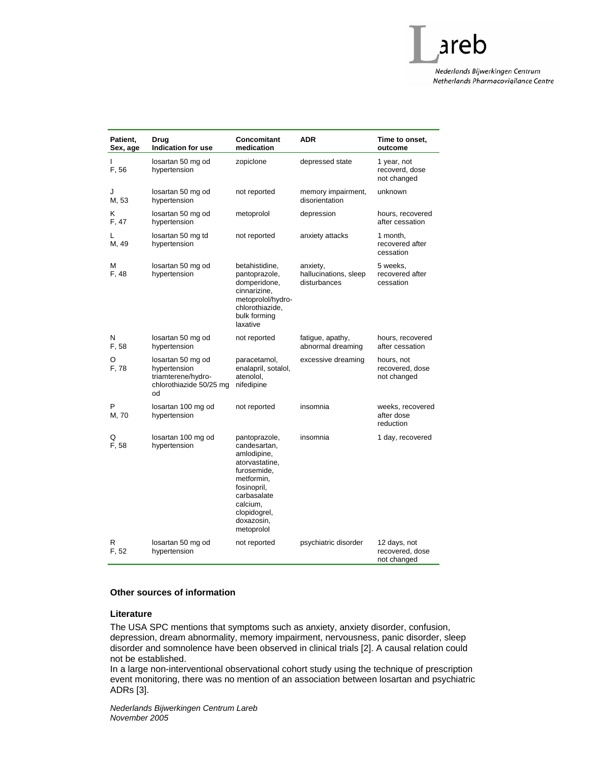Nederlands Bijwerkingen Centrum Netherlands Pharmacovigilance Centre

areb

| Patient,<br>Sex, age | Drug<br><b>Indication for use</b>                                                        | Concomitant<br>medication                                                                                                                                                         | <b>ADR</b>                                        | Time to onset,<br>outcome                      |
|----------------------|------------------------------------------------------------------------------------------|-----------------------------------------------------------------------------------------------------------------------------------------------------------------------------------|---------------------------------------------------|------------------------------------------------|
| L<br>F, 56           | losartan 50 mg od<br>hypertension                                                        | zopiclone                                                                                                                                                                         | depressed state                                   | 1 year, not<br>recoverd, dose<br>not changed   |
| J<br>M, 53           | losartan 50 mg od<br>hypertension                                                        | not reported                                                                                                                                                                      | memory impairment,<br>disorientation              | unknown                                        |
| Κ<br>F, 47           | losartan 50 mg od<br>hypertension                                                        | metoprolol                                                                                                                                                                        | depression                                        | hours, recovered<br>after cessation            |
| L<br>M, 49           | losartan 50 mg td<br>hypertension                                                        | not reported                                                                                                                                                                      | anxiety attacks                                   | 1 month,<br>recovered after<br>cessation       |
| М<br>F, 48           | losartan 50 mg od<br>hypertension                                                        | betahistidine,<br>pantoprazole,<br>domperidone,<br>cinnarizine,<br>metoprolol/hydro-<br>chlorothiazide,<br>bulk forming<br>laxative                                               | anxiety,<br>hallucinations, sleep<br>disturbances | 5 weeks,<br>recovered after<br>cessation       |
| N<br>F, 58           | losartan 50 mg od<br>hypertension                                                        | not reported                                                                                                                                                                      | fatigue, apathy,<br>abnormal dreaming             | hours, recovered<br>after cessation            |
| O<br>F, 78           | losartan 50 mg od<br>hypertension<br>triamterene/hydro-<br>chlorothiazide 50/25 mg<br>od | paracetamol,<br>enalapril, sotalol,<br>atenolol,<br>nifedipine                                                                                                                    | excessive dreaming                                | hours, not<br>recovered, dose<br>not changed   |
| P<br>M, 70           | losartan 100 mg od<br>hypertension                                                       | not reported                                                                                                                                                                      | insomnia                                          | weeks, recovered<br>after dose<br>reduction    |
| Q<br>F. 58           | losartan 100 mg od<br>hypertension                                                       | pantoprazole,<br>candesartan,<br>amlodipine,<br>atorvastatine,<br>furosemide,<br>metformin,<br>fosinopril,<br>carbasalate<br>calcium,<br>clopidogrel,<br>doxazosin,<br>metoprolol | insomnia                                          | 1 day, recovered                               |
| R<br>F, 52           | losartan 50 mg od<br>hypertension                                                        | not reported                                                                                                                                                                      | psychiatric disorder                              | 12 days, not<br>recovered, dose<br>not changed |

#### **Other sources of information**

## **Literature**

The USA SPC mentions that symptoms such as anxiety, anxiety disorder, confusion, depression, dream abnormality, memory impairment, nervousness, panic disorder, sleep disorder and somnolence have been observed in clinical trials [2]. A causal relation could not be established.

In a large non-interventional observational cohort study using the technique of prescription event monitoring, there was no mention of an association between losartan and psychiatric ADRs [3].

*Nederlands Bijwerkingen Centrum Lareb November 2005*